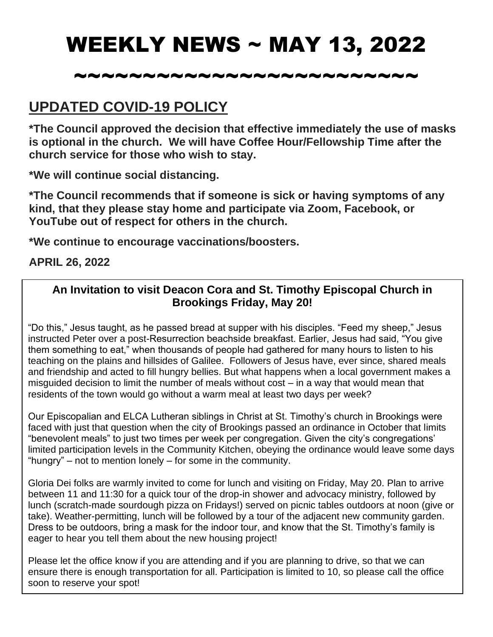# WEEKLY NEWS ~ MAY 13, 2022

## ~~~~~~~~~~~~~~~~~~~~~~~~~

### **UPDATED COVID-19 POLICY**

**\*The Council approved the decision that effective immediately the use of masks is optional in the church. We will have Coffee Hour/Fellowship Time after the church service for those who wish to stay.**

**\*We will continue social distancing.**

**\*The Council recommends that if someone is sick or having symptoms of any kind, that they please stay home and participate via Zoom, Facebook, or YouTube out of respect for others in the church.**

**\*We continue to encourage vaccinations/boosters.**

#### **APRIL 26, 2022**

#### **An Invitation to visit Deacon Cora and St. Timothy Episcopal Church in Brookings Friday, May 20!**

"Do this," Jesus taught, as he passed bread at supper with his disciples. "Feed my sheep," Jesus instructed Peter over a post-Resurrection beachside breakfast. Earlier, Jesus had said, "You give them something to eat," when thousands of people had gathered for many hours to listen to his teaching on the plains and hillsides of Galilee. Followers of Jesus have, ever since, shared meals and friendship and acted to fill hungry bellies. But what happens when a local government makes a misguided decision to limit the number of meals without cost – in a way that would mean that residents of the town would go without a warm meal at least two days per week?

Our Episcopalian and ELCA Lutheran siblings in Christ at St. Timothy's church in Brookings were faced with just that question when the city of Brookings passed an ordinance in October that limits "benevolent meals" to just two times per week per congregation. Given the city's congregations' limited participation levels in the Community Kitchen, obeying the ordinance would leave some days "hungry" – not to mention lonely – for some in the community.

Gloria Dei folks are warmly invited to come for lunch and visiting on Friday, May 20. Plan to arrive between 11 and 11:30 for a quick tour of the drop-in shower and advocacy ministry, followed by lunch (scratch-made sourdough pizza on Fridays!) served on picnic tables outdoors at noon (give or take). Weather-permitting, lunch will be followed by a tour of the adjacent new community garden. Dress to be outdoors, bring a mask for the indoor tour, and know that the St. Timothy's family is eager to hear you tell them about the new housing project!

Please let the office know if you are attending and if you are planning to drive, so that we can ensure there is enough transportation for all. Participation is limited to 10, so please call the office soon to reserve your spot!